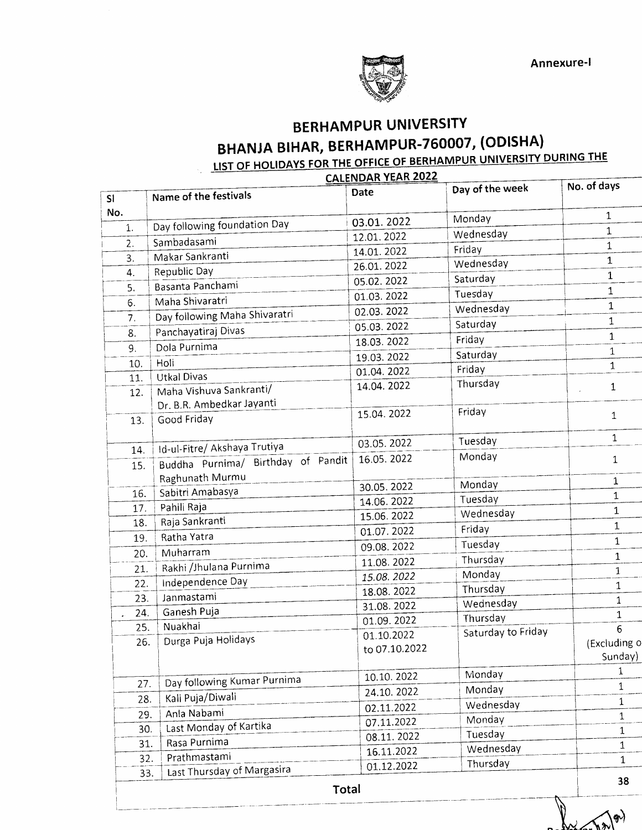

## BERHAMPUR UNIVERSITY BHANJA BIHAR, BERHAMPUR-760007, (ODISHA)

### <u>NIVERSITY DURING THE</u>

|     |                                    | CALENDAR YEAR 2022          | Day of the week    | No. of days  |
|-----|------------------------------------|-----------------------------|--------------------|--------------|
| SI  | Name of the festivals              | Date                        |                    |              |
| No. |                                    | 03.01.2022                  | Monday             | 1            |
| 1.  | Day following foundation Day       | 12.01.2022                  | Wednesday          | $\mathbf{1}$ |
| 2.  | Sambadasami                        | 14.01.2022                  | Friday             | $\mathbf 1$  |
| 3.  | Makar Sankranti                    | 26.01.2022                  | Wednesday          | 1            |
| 4.  | Republic Day                       | 05.02.2022                  | Saturday           | $\mathbf 1$  |
| 5.  | Basanta Panchami                   | 01.03.2022                  | Tuesday            | $\mathbf{1}$ |
| 6.  | Maha Shivaratri                    | 02.03.2022                  | Wednesday          | $\mathbf 1$  |
| 7.  | Day following Maha Shivaratri      | 05.03.2022                  | Saturday           | 1            |
| 8.  | Panchayatiraj Divas                |                             | Friday             | $\mathbf{1}$ |
| 9.  | Dola Purnima                       | 18.03.2022                  | Saturday           | $\mathbf{1}$ |
| 10. | Holi                               | 19.03.2022                  | Friday             | $\mathbf{1}$ |
| 11. | <b>Utkal Divas</b>                 | 01.04.2022                  | Thursday           |              |
| 12. | Maha Vishuva Sankranti/            | 14.04.2022                  |                    | 1            |
|     | Dr. B.R. Ambedkar Jayanti          | 15.04.2022                  | Friday             |              |
| 13. | Good Friday                        |                             |                    | $\mathbf{1}$ |
|     |                                    | 03.05.2022                  | Tuesday            | $\mathbf{1}$ |
| 14. | Id-ul-Fitre/ Akshaya Trutiya       |                             | Monday             |              |
| 15. | Buddha Purnima/ Birthday of Pandit | 16.05.2022                  |                    | $\mathbf{1}$ |
|     | Raghunath Murmu                    | 30.05.2022                  | Monday             | $\mathbf 1$  |
| 16. | Sabitri Amabasya                   | 14.06.2022                  | Tuesday            | $\mathbf 1$  |
| 17. | Pahili Raja                        | 15.06.2022                  | Wednesday          | $\mathbf{1}$ |
| 18. | Raja Sankranti                     | 01.07.2022                  | Friday             | 1            |
| 19. | Ratha Yatra                        | 09.08.2022                  | Tuesday            | $\mathbf 1$  |
| 20. | Muharram                           |                             | Thursday           | $\mathbf{1}$ |
| 21. | Rakhi /Jhulana Purnima             | 11.08.2022                  | Monday             | 1            |
| 22. | Independence Day                   | 15.08.2022                  | Thursday           | 1            |
| 23. | Janmastami                         | 18.08.2022                  | Wednesday          | $\mathbf{1}$ |
| 24. | Ganesh Puja                        | 31.08.2022<br>01.09.2022    | Thursday           | $\mathbf{1}$ |
| 25. | Nuakhai                            |                             | Saturday to Friday | 6            |
| 26. | Durga Puja Holidays                | 01.10.2022<br>to 07.10.2022 |                    | (Excluding o |
|     |                                    |                             |                    | Sunday)      |
|     |                                    | 10.10.2022                  | Monday             | 1            |
| 27. | Day following Kumar Purnima        | 24.10.2022                  | Monday             | 1            |
| 28. | Kali Puja/Diwali                   | 02.11.2022                  | Wednesday          | 1            |
| 29. | Anla Nabami                        | 07.11.2022                  | Monday             | $\mathbf{1}$ |
| 30. | Last Monday of Kartika             | 08.11.2022                  | Tuesday            | 1            |
| 31. | Rasa Purnima                       | 16.11.2022                  | Wednesday          | 1            |
| 32. | Prathmastami                       | 01.12.2022                  | Thursday           | $\mathbf{1}$ |
| 33. | Last Thursday of Margasira         |                             |                    |              |
|     | Total                              |                             |                    | 38           |

 $\ket{\phi}$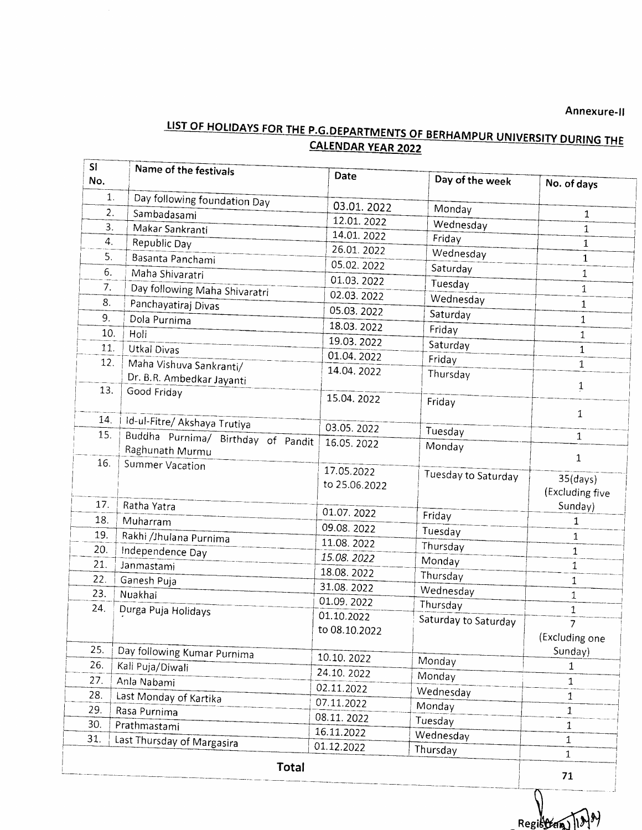# Annexure-II<br>LIST OF HOLIDAYS FOR THE P.G.DEPARTMENTS OF BERHAMPUR UNIVERSITY DURING THE CALENDAR YEAR 2022

| <b>SI</b><br>No. | Name of the festivals                                 | Date          | Day of the week      | No. of days     |
|------------------|-------------------------------------------------------|---------------|----------------------|-----------------|
| 1.               | Day following foundation Day                          |               |                      |                 |
| 2.               | Sambadasami                                           | 03.01.2022    | Monday               | $\mathbf{1}$    |
| 3.               | Makar Sankranti                                       | 12.01.2022    | Wednesday            | $\mathbf{1}$    |
| 4.               | Republic Day                                          | 14.01.2022    | Friday               | 1               |
| 5.               | Basanta Panchami                                      | 26.01.2022    | Wednesday            | $\mathbf{1}$    |
| 6.               | Maha Shivaratri                                       | 05.02.2022    | Saturday             | $\mathbf{1}$    |
| 7.               | Day following Maha Shivaratri                         | 01.03.2022    | Tuesday              | 1               |
| 8.               | Panchayatiraj Divas                                   | 02.03.2022    | Wednesday            | 1               |
| 9.               | Dola Purnima                                          | 05.03.2022    | Saturday             | $\mathbf{1}$    |
| 10.              | Holi                                                  | 18.03.2022    | Friday               | 1               |
| 11.              | Utkal Divas                                           | 19.03.2022    | Saturday             | $\mathbf{1}$    |
| 12.              |                                                       | 01.04.2022    | Friday               | 1               |
|                  | Maha Vishuva Sankranti/                               | 14.04.2022    | Thursday             |                 |
| 13.              | Dr. B.R. Ambedkar Jayanti<br>Good Friday              |               |                      | $\mathbf{1}$    |
|                  |                                                       | 15.04.2022    | Friday               |                 |
| 14.              |                                                       |               |                      | 1               |
| 15.              | Id-ul-Fitre/ Akshaya Trutiya                          | 03.05.2022    | Tuesday              | $\mathbf{1}$    |
|                  | Buddha Purnima/ Birthday of Pandit<br>Raghunath Murmu | 16.05.2022    | Monday               |                 |
| 16.              | Summer Vacation                                       |               |                      | $\mathbf{1}$    |
|                  |                                                       | 17.05.2022    | Tuesday to Saturday  | $35$ (days)     |
|                  |                                                       | to 25.06.2022 |                      | (Excluding five |
| 17.              | Ratha Yatra                                           |               |                      | Sunday)         |
| 18.              | Muharram                                              | 01.07.2022    | Friday               | 1               |
| 19.              | Rakhi /Jhulana Purnima                                | 09.08.2022    | Tuesday              | $\mathbf{1}$    |
| 20,              | Independence Day                                      | 11.08.2022    | Thursday             | $\mathbf{1}$    |
| 21.              | Janmastami                                            | 15.08.2022    | Monday               | 1               |
| 22.              | Ganesh Puja                                           | 18.08.2022    | Thursday             | 1               |
| 23.              | Nuakhai                                               | 31.08.2022    | Wednesday            | $\mathbf{1}$    |
| 24.              | Durga Puja Holidays                                   | 01.09.2022    | Thursday             | $\mathbf 1$     |
|                  |                                                       | 01.10.2022    | Saturday to Saturday | 7               |
|                  |                                                       | to 08.10.2022 |                      | (Excluding one  |
| 25.              | Day following Kumar Purnima                           |               |                      | Sunday)         |
| 26.              | Kali Puja/Diwali                                      | 10.10.2022    | Monday               | 1               |
| 27.              | Anla Nabami                                           | 24.10.2022    | Monday               | $\mathbf{1}$    |
| 28.              | Last Monday of Kartika                                | 02.11.2022    | Wednesday            | $\mathbf{1}$    |
| 29.              | Rasa Purnima                                          | 07.11.2022    | Monday               | $\mathbf 1$     |
| 30.              | Prathmastami                                          | 08.11.2022    | Tuesday              |                 |
| 31.              |                                                       | 16.11.2022    | Wednesday            | 1<br>1          |
|                  | Last Thursday of Margasira                            | 01.12.2022    | Thursday             | $\mathbf{1}$    |
|                  | Total                                                 |               |                      |                 |

Register 1994

 $71$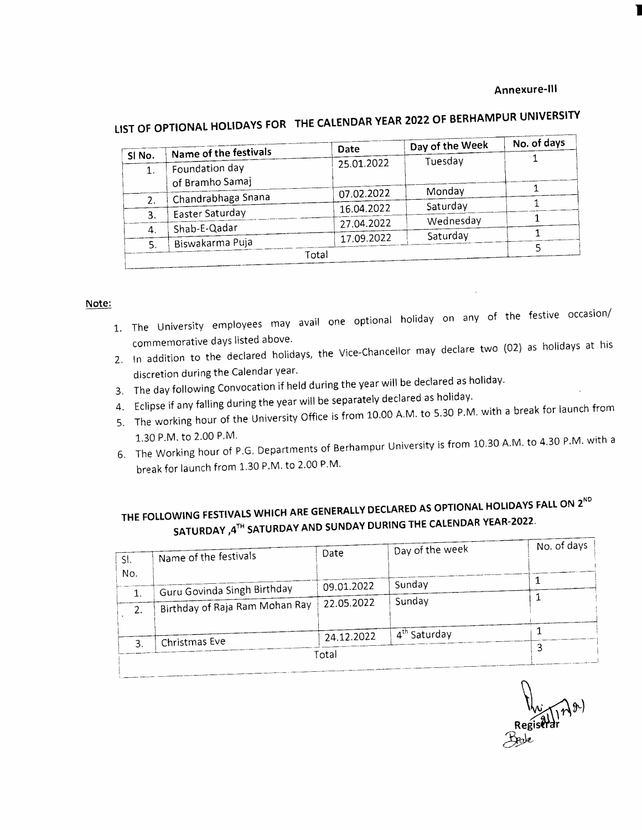#### Annexure-lll

I

|        |                                   | Date       | Day of the Week | No. of days |
|--------|-----------------------------------|------------|-----------------|-------------|
| SI No. | Name of the festivals             |            | Tuesday         |             |
|        | Foundation day<br>of Bramho Samaj | 25.01.2022 |                 |             |
|        |                                   | 07.02.2022 | Monday          |             |
| 2.     | Chandrabhaga Snana                |            |                 |             |
| 3.     | Easter Saturday                   | 16.04.2022 | Saturday        |             |
|        |                                   | 27.04.2022 | Wednesday       |             |
| 4.     | Shab-E-Qadar                      |            | Saturday        |             |
| 5.     | Biswakarma Puja                   | 17.09.2022 |                 |             |
| Total  |                                   |            |                 |             |

## LIST OF OPTIONAL HOLIDAYS FOR THE CALENDAR YEAR 2022 OF BERHAMPUR SHIPLES IN

#### <sup>N</sup>ote:

- 1. The University employees may avail one optional holiday on any of the festive occasion/ commemorative days listed above.
- 2. In addition to the declared holidays, the Vice-chancellor may declare two (02) as holidays at his discretion during the Calendar year.
- 3. The day following convocation if held during the year will be declared as holiday'
- 4. Eclipse if any falling during the year will be separately declared as holiday'
- 5. The working hour of the University Office is from 10.00 A.M. to 5.30 P.M. with a break for launch from<br>1.30 P.M. to 2.00 P.M. 1.30 P.M. to 2.00 P.M.
- 6. The Working hour of P.G. Departments of Berhampur Silversity break for launch from 1.30 P.M. to 2.00 P.M.

## THE FOLLOWING FESTIVALS WHICH ARE GENERALLY DECLARED AS OPTIONAL HOLIDAYS FALL ON 2ND SATURDAY , $4^{TH}$  SATURDAY AND SUNDAY DURING THE CALENDAR YEAR-2022.

| SI. | Name of the festivals          | Date       | Day of the week          | No. of days |
|-----|--------------------------------|------------|--------------------------|-------------|
| No. |                                |            |                          |             |
|     | Guru Govinda Singh Birthday    | 09.01.2022 | Sunday                   |             |
| 2.  | Birthday of Raja Ram Mohan Ray | 22.05.2022 | Sunday                   |             |
|     |                                | 24.12.2022 | 4 <sup>th</sup> Saturday |             |
| 3.  | Christmas Eve                  |            |                          |             |
|     |                                | Total      |                          |             |

n  $\frac{W_{\mathcal{N}}}{\text{Resiserder}}$ &w